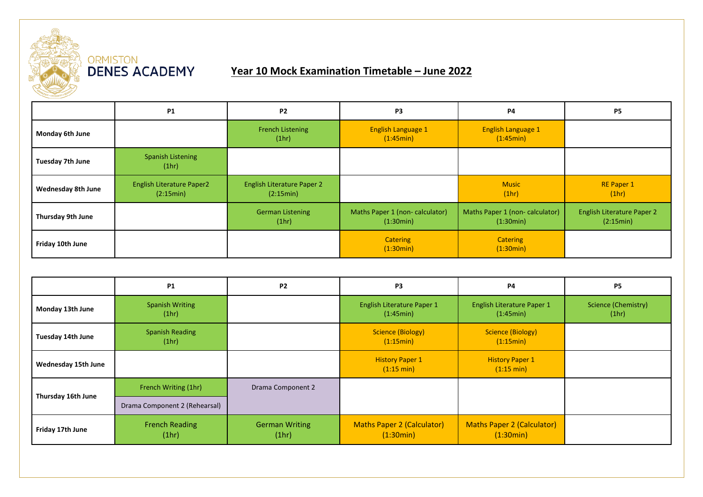

## ORMISTON<br>**DENES ACADEMY**

## **Year 10 Mock Examination Timetable – June 2022**

|                           | <b>P1</b>                                     | P <sub>2</sub>                                 | P <sub>3</sub>                              | P4                                          | <b>P5</b>                                      |
|---------------------------|-----------------------------------------------|------------------------------------------------|---------------------------------------------|---------------------------------------------|------------------------------------------------|
| Monday 6th June           |                                               | <b>French Listening</b><br>(1hr)               | <b>English Language 1</b><br>(1:45min)      | <b>English Language 1</b><br>(1:45min)      |                                                |
| Tuesday 7th June          | <b>Spanish Listening</b><br>(1hr)             |                                                |                                             |                                             |                                                |
| <b>Wednesday 8th June</b> | <b>English Literature Paper2</b><br>(2:15min) | <b>English Literature Paper 2</b><br>(2:15min) |                                             | <b>Music</b><br>(1hr)                       | <b>RE Paper 1</b><br>(1hr)                     |
| Thursday 9th June         |                                               | <b>German Listening</b><br>(1hr)               | Maths Paper 1 (non-calculator)<br>(1:30min) | Maths Paper 1 (non-calculator)<br>(1:30min) | <b>English Literature Paper 2</b><br>(2:15min) |
| Friday 10th June          |                                               |                                                | <b>Catering</b><br>(1:30min)                | <b>Catering</b><br>(1:30min)                |                                                |

|                     | <b>P1</b>                       | P <sub>2</sub>                 | P <sub>3</sub>                                 | <b>P4</b>                                      | <b>P5</b>                    |
|---------------------|---------------------------------|--------------------------------|------------------------------------------------|------------------------------------------------|------------------------------|
| Monday 13th June    | <b>Spanish Writing</b><br>(1hr) |                                | English Literature Paper 1<br>(1:45min)        | English Literature Paper 1<br>(1:45min)        | Science (Chemistry)<br>(1hr) |
| Tuesday 14th June   | <b>Spanish Reading</b><br>(1hr) |                                | Science (Biology)<br>(1:15min)                 | Science (Biology)<br>(1:15min)                 |                              |
| Wednesday 15th June |                                 |                                | <b>History Paper 1</b><br>$(1:15 \text{ min})$ | <b>History Paper 1</b><br>$(1:15 \text{ min})$ |                              |
| Thursday 16th June  | French Writing (1hr)            | Drama Component 2              |                                                |                                                |                              |
|                     | Drama Component 2 (Rehearsal)   |                                |                                                |                                                |                              |
| Friday 17th June    | <b>French Reading</b><br>(1hr)  | <b>German Writing</b><br>(1hr) | <b>Maths Paper 2 (Calculator)</b><br>(1:30min) | <b>Maths Paper 2 (Calculator)</b><br>(1:30min) |                              |